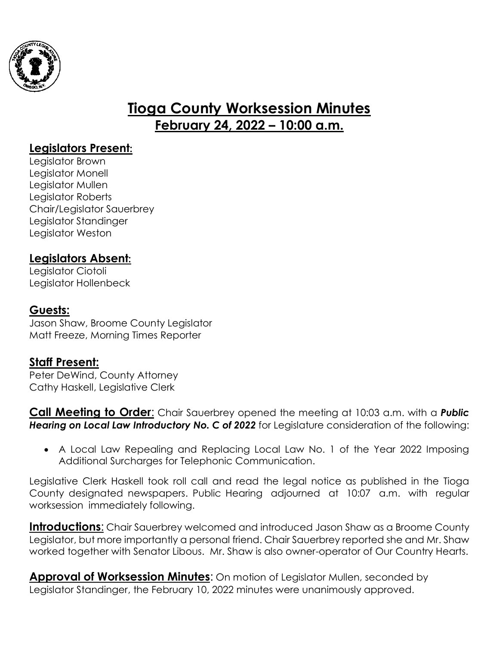

# **Tioga County Worksession Minutes February 24, 2022 – 10:00 a.m.**

## **Legislators Present:**

Legislator Brown Legislator Monell Legislator Mullen Legislator Roberts Chair/Legislator Sauerbrey Legislator Standinger Legislator Weston

## **Legislators Absent:**

Legislator Ciotoli Legislator Hollenbeck

#### **Guests:**

Jason Shaw, Broome County Legislator Matt Freeze, Morning Times Reporter

### **Staff Present:**

Peter DeWind, County Attorney Cathy Haskell, Legislative Clerk

**Call Meeting to Order**: Chair Sauerbrey opened the meeting at 10:03 a.m. with a *Public Hearing on Local Law Introductory No. C of 2022* for Legislature consideration of the following:

 A Local Law Repealing and Replacing Local Law No. 1 of the Year 2022 Imposing Additional Surcharges for Telephonic Communication.

Legislative Clerk Haskell took roll call and read the legal notice as published in the Tioga County designated newspapers. Public Hearing adjourned at 10:07 a.m. with regular worksession immediately following.

**Introductions:** Chair Sauerbrey welcomed and introduced Jason Shaw as a Broome County Legislator, but more importantly a personal friend. Chair Sauerbrey reported she and Mr. Shaw worked together with Senator Libous. Mr. Shaw is also owner-operator of Our Country Hearts.

**Approval of Worksession Minutes**: On motion of Legislator Mullen, seconded by Legislator Standinger, the February 10, 2022 minutes were unanimously approved.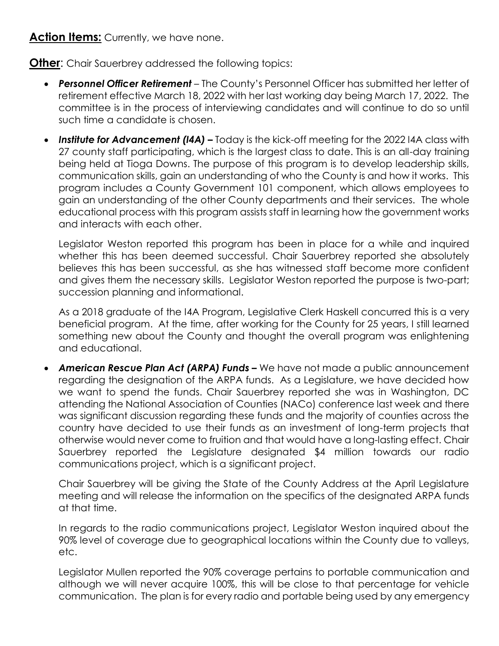#### **Action Items:** Currently, we have none.

**Other:** Chair Sauerbrey addressed the following topics:

- *Personnel Officer Retirement* The County's Personnel Officer has submitted her letter of retirement effective March 18, 2022 with her last working day being March 17, 2022. The committee is in the process of interviewing candidates and will continue to do so until such time a candidate is chosen.
- Institute for **Advancement (I4A) –** Today is the kick-off meeting for the 2022 I4A class with 27 county staff participating, which is the largest class to date. This is an all-day training being held at Tioga Downs. The purpose of this program is to develop leadership skills, communication skills, gain an understanding of who the County is and how it works. This program includes a County Government 101 component, which allows employees to gain an understanding of the other County departments and their services. The whole educational process with this program assists staff in learning how the government works and interacts with each other.

Legislator Weston reported this program has been in place for a while and inquired whether this has been deemed successful. Chair Sauerbrey reported she absolutely believes this has been successful, as she has witnessed staff become more confident and gives them the necessary skills. Legislator Weston reported the purpose is two-part; succession planning and informational.

As a 2018 graduate of the I4A Program, Legislative Clerk Haskell concurred this is a very beneficial program. At the time, after working for the County for 25 years, I still learned something new about the County and thought the overall program was enlightening and educational.

 *American Rescue Plan Act (ARPA) Funds –* We have not made a public announcement regarding the designation of the ARPA funds. As a Legislature, we have decided how we want to spend the funds. Chair Sauerbrey reported she was in Washington, DC attending the National Association of Counties (NACo) conference last week and there was significant discussion regarding these funds and the majority of counties across the country have decided to use their funds as an investment of long-term projects that otherwise would never come to fruition and that would have a long-lasting effect. Chair Sauerbrey reported the Legislature designated \$4 million towards our radio communications project, which is a significant project.

Chair Sauerbrey will be giving the State of the County Address at the April Legislature meeting and will release the information on the specifics of the designated ARPA funds at that time.

In regards to the radio communications project, Legislator Weston inquired about the 90% level of coverage due to geographical locations within the County due to valleys, etc.

Legislator Mullen reported the 90% coverage pertains to portable communication and although we will never acquire 100%, this will be close to that percentage for vehicle communication. The plan is for every radio and portable being used by any emergency